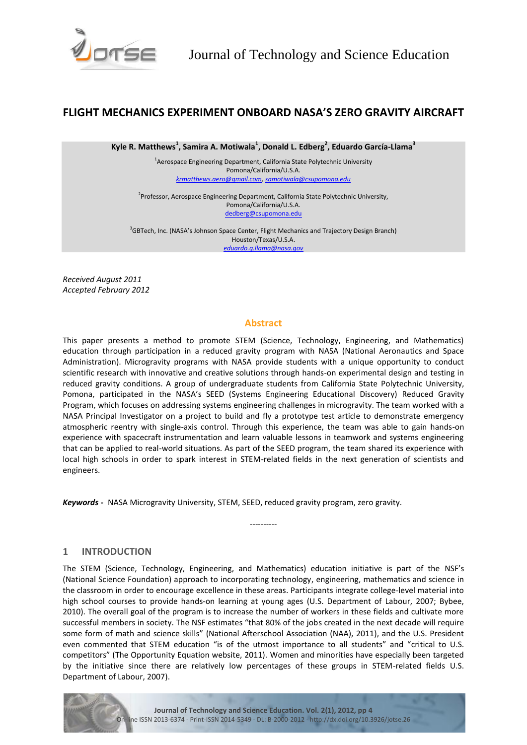

# **FLIGHT MECHANICS EXPERIMENT ONBOARD NASA'S ZERO GRAVITY AIRCRAFT**

**Kyle R. Matthews<sup>1</sup> , Samira A. Motiwala<sup>1</sup> , Donald L. Edberg<sup>2</sup> , Eduardo García-Llama<sup>3</sup>**

<sup>1</sup> Aerospace Engineering Department, California State Polytechnic University Pomona/California/U.S.A. *[krmatthews.aero@gmail.com,](mailto:krmatthews.aero@gmail.com) [samotiwala@csupomona.edu](mailto:samotiwala@csupomona.edu)*

<sup>2</sup>Professor, Aerospace Engineering Department, California State Polytechnic University, Pomona/California/U.S.A. [dedberg@csupomona.edu](mailto:dedberg@csupomona.edu)

<sup>3</sup>GBTech, Inc. (NASA's Johnson Space Center, Flight Mechanics and Trajectory Design Branch) Houston/Texas/U.S.A. *[eduardo.g.llama@nasa.gov](mailto:eduardo.g.llama@nasa.gov)*

*Received August 2011 Accepted February 2012*

# **Abstract**

This paper presents a method to promote STEM (Science, Technology, Engineering, and Mathematics) education through participation in a reduced gravity program with NASA (National Aeronautics and Space Administration). Microgravity programs with NASA provide students with a unique opportunity to conduct scientific research with innovative and creative solutions through hands-on experimental design and testing in reduced gravity conditions. A group of undergraduate students from California State Polytechnic University, Pomona, participated in the NASA's SEED (Systems Engineering Educational Discovery) Reduced Gravity Program, which focuses on addressing systems engineering challenges in microgravity. The team worked with a NASA Principal Investigator on a project to build and fly a prototype test article to demonstrate emergency atmospheric reentry with single-axis control. Through this experience, the team was able to gain hands-on experience with spacecraft instrumentation and learn valuable lessons in teamwork and systems engineering that can be applied to real-world situations. As part of the SEED program, the team shared its experience with local high schools in order to spark interest in STEM-related fields in the next generation of scientists and engineers.

*Keywords -* NASA Microgravity University, STEM, SEED, reduced gravity program, zero gravity.

# **1 INTRODUCTION**

The STEM (Science, Technology, Engineering, and Mathematics) education initiative is part of the NSF's (National Science Foundation) approach to incorporating technology, engineering, mathematics and science in the classroom in order to encourage excellence in these areas. Participants integrate college-level material into high school courses to provide hands-on learning at young ages (U.S. Department of Labour, 2007; Bybee, 2010). The overall goal of the program is to increase the number of workers in these fields and cultivate more successful members in society. The NSF estimates "that 80% of the jobs created in the next decade will require some form of math and science skills" (National Afterschool Association (NAA), 2011), and the U.S. President even commented that STEM education "is of the utmost importance to all students" and "critical to U.S. competitors" (The Opportunity Equation website, 2011). Women and minorities have especially been targeted by the initiative since there are relatively low percentages of these groups in STEM-related fields U.S. Department of Labour, 2007).

----------

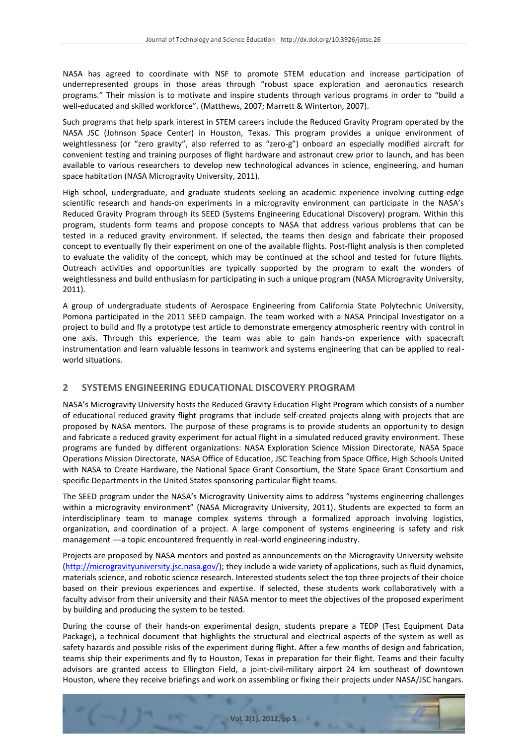NASA has agreed to coordinate with NSF to promote STEM education and increase participation of underrepresented groups in those areas through "robust space exploration and aeronautics research programs." Their mission is to motivate and inspire students through various programs in order to "build a well-educated and skilled workforce". (Matthews, 2007; Marrett & Winterton, 2007).

Such programs that help spark interest in STEM careers include the Reduced Gravity Program operated by the NASA JSC (Johnson Space Center) in Houston, Texas. This program provides a unique environment of weightlessness (or "zero gravity", also referred to as "zero-g") onboard an especially modified aircraft for convenient testing and training purposes of flight hardware and astronaut crew prior to launch, and has been available to various researchers to develop new technological advances in science, engineering, and human space habitation (NASA Microgravity University, 2011).

High school, undergraduate, and graduate students seeking an academic experience involving cutting-edge scientific research and hands-on experiments in a microgravity environment can participate in the NASA's Reduced Gravity Program through its SEED (Systems Engineering Educational Discovery) program. Within this program, students form teams and propose concepts to NASA that address various problems that can be tested in a reduced gravity environment. If selected, the teams then design and fabricate their proposed concept to eventually fly their experiment on one of the available flights. Post-flight analysis is then completed to evaluate the validity of the concept, which may be continued at the school and tested for future flights. Outreach activities and opportunities are typically supported by the program to exalt the wonders of weightlessness and build enthusiasm for participating in such a unique program (NASA Microgravity University, 2011).

A group of undergraduate students of Aerospace Engineering from California State Polytechnic University, Pomona participated in the 2011 SEED campaign. The team worked with a NASA Principal Investigator on a project to build and fly a prototype test article to demonstrate emergency atmospheric reentry with control in one axis. Through this experience, the team was able to gain hands-on experience with spacecraft instrumentation and learn valuable lessons in teamwork and systems engineering that can be applied to realworld situations.

# **2 SYSTEMS ENGINEERING EDUCATIONAL DISCOVERY PROGRAM**

NASA's Microgravity University hosts the Reduced Gravity Education Flight Program which consists of a number of educational reduced gravity flight programs that include self-created projects along with projects that are proposed by NASA mentors. The purpose of these programs is to provide students an opportunity to design and fabricate a reduced gravity experiment for actual flight in a simulated reduced gravity environment. These programs are funded by different organizations: NASA Exploration Science Mission Directorate, NASA Space Operations Mission Directorate, NASA Office of Education, JSC Teaching from Space Office, High Schools United with NASA to Create Hardware, the National Space Grant Consortium, the State Space Grant Consortium and specific Departments in the United States sponsoring particular flight teams.

The SEED program under the NASA's Microgravity University aims to address "systems engineering challenges within a microgravity environment" (NASA Microgravity University, 2011). Students are expected to form an interdisciplinary team to manage complex systems through a formalized approach involving logistics, organization, and coordination of a project. A large component of systems engineering is safety and risk management ―a topic encountered frequently in real-world engineering industry.

Projects are proposed by NASA mentors and posted as announcements on the Microgravity University website [\(http://microgravityuniversity.jsc.nasa.gov/\)](http://microgravityuniversity.jsc.nasa.gov/); they include a wide variety of applications, such as fluid dynamics, materials science, and robotic science research. Interested students select the top three projects of their choice based on their previous experiences and expertise. If selected, these students work collaboratively with a faculty advisor from their university and their NASA mentor to meet the objectives of the proposed experiment by building and producing the system to be tested.

During the course of their hands-on experimental design, students prepare a TEDP (Test Equipment Data Package), a technical document that highlights the structural and electrical aspects of the system as well as safety hazards and possible risks of the experiment during flight. After a few months of design and fabrication, teams ship their experiments and fly to Houston, Texas in preparation for their flight. Teams and their faculty advisors are granted access to Ellington Field, a joint-civil-military airport 24 km southeast of downtown Houston, where they receive briefings and work on assembling or fixing their projects under NASA/JSC hangars.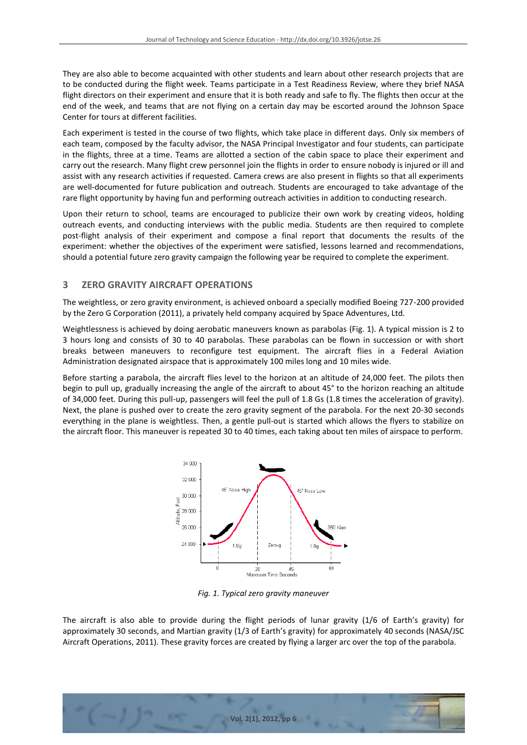They are also able to become acquainted with other students and learn about other research projects that are to be conducted during the flight week. Teams participate in a Test Readiness Review, where they brief NASA flight directors on their experiment and ensure that it is both ready and safe to fly. The flights then occur at the end of the week, and teams that are not flying on a certain day may be escorted around the Johnson Space Center for tours at different facilities.

Each experiment is tested in the course of two flights, which take place in different days. Only six members of each team, composed by the faculty advisor, the NASA Principal Investigator and four students, can participate in the flights, three at a time. Teams are allotted a section of the cabin space to place their experiment and carry out the research. Many flight crew personnel join the flights in order to ensure nobody is injured or ill and assist with any research activities if requested. Camera crews are also present in flights so that all experiments are well-documented for future publication and outreach. Students are encouraged to take advantage of the rare flight opportunity by having fun and performing outreach activities in addition to conducting research.

Upon their return to school, teams are encouraged to publicize their own work by creating videos, holding outreach events, and conducting interviews with the public media. Students are then required to complete post-flight analysis of their experiment and compose a final report that documents the results of the experiment: whether the objectives of the experiment were satisfied, lessons learned and recommendations, should a potential future zero gravity campaign the following year be required to complete the experiment.

#### **3 ZERO GRAVITY AIRCRAFT OPERATIONS**

The weightless, or zero gravity environment, is achieved onboard a specially modified Boeing 727-200 provided by the Zero G Corporation (2011), a privately held company acquired by Space Adventures, Ltd.

Weightlessness is achieved by doing aerobatic maneuvers known as parabolas (Fig. 1). A typical mission is 2 to 3 hours long and consists of 30 to 40 parabolas. These parabolas can be flown in succession or with short breaks between maneuvers to reconfigure test equipment. The aircraft flies in a Federal Aviation Administration designated airspace that is approximately 100 miles long and 10 miles wide.

Before starting a parabola, the aircraft flies level to the horizon at an altitude of 24,000 feet. The pilots then begin to pull up, gradually increasing the angle of the aircraft to about 45° to the horizon reaching an altitude of 34,000 feet. During this pull-up, passengers will feel the pull of 1.8 Gs (1.8 times the acceleration of gravity). Next, the plane is pushed over to create the zero gravity segment of the parabola. For the next 20-30 seconds everything in the plane is weightless. Then, a gentle pull-out is started which allows the flyers to stabilize on the aircraft floor. This maneuver is repeated 30 to 40 times, each taking about ten miles of airspace to perform.



*Fig. 1. Typical zero gravity maneuver*

The aircraft is also able to provide during the flight periods of lunar gravity (1/6 of Earth's gravity) for approximately 30 seconds, and Martian gravity (1/3 of Earth's gravity) for approximately 40 seconds (NASA/JSC Aircraft Operations, 2011). These gravity forces are created by flying a larger arc over the top of the parabola.

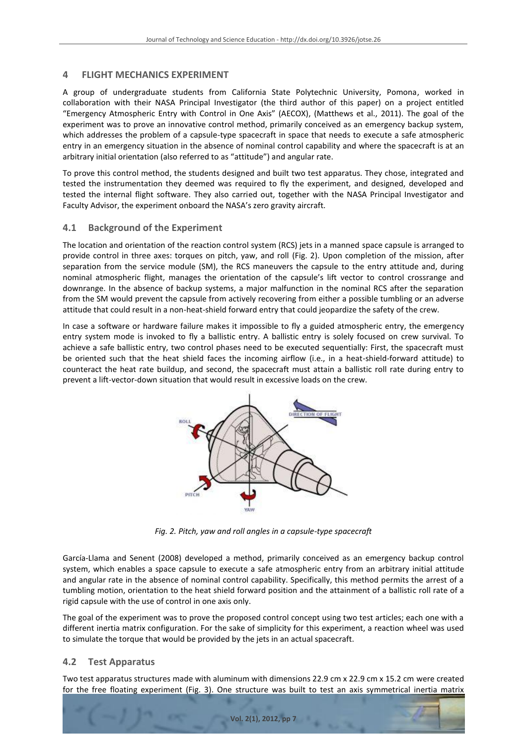### **4 FLIGHT MECHANICS EXPERIMENT**

A group of undergraduate students from California State Polytechnic University, Pomona, worked in collaboration with their NASA Principal Investigator (the third author of this paper) on a project entitled "Emergency Atmospheric Entry with Control in One Axis" (AECOX), (Matthews et al., 2011). The goal of the experiment was to prove an innovative control method, primarily conceived as an emergency backup system, which addresses the problem of a capsule-type spacecraft in space that needs to execute a safe atmospheric entry in an emergency situation in the absence of nominal control capability and where the spacecraft is at an arbitrary initial orientation (also referred to as "attitude") and angular rate.

To prove this control method, the students designed and built two test apparatus. They chose, integrated and tested the instrumentation they deemed was required to fly the experiment, and designed, developed and tested the internal flight software. They also carried out, together with the NASA Principal Investigator and Faculty Advisor, the experiment onboard the NASA's zero gravity aircraft.

### **4.1 Background of the Experiment**

The location and orientation of the reaction control system (RCS) jets in a manned space capsule is arranged to provide control in three axes: torques on pitch, yaw, and roll (Fig. 2). Upon completion of the mission, after separation from the service module (SM), the RCS maneuvers the capsule to the entry attitude and, during nominal atmospheric flight, manages the orientation of the capsule's lift vector to control crossrange and downrange. In the absence of backup systems, a major malfunction in the nominal RCS after the separation from the SM would prevent the capsule from actively recovering from either a possible tumbling or an adverse attitude that could result in a non-heat-shield forward entry that could jeopardize the safety of the crew.

In case a software or hardware failure makes it impossible to fly a guided atmospheric entry, the emergency entry system mode is invoked to fly a ballistic entry. A ballistic entry is solely focused on crew survival. To achieve a safe ballistic entry, two control phases need to be executed sequentially: First, the spacecraft must be oriented such that the heat shield faces the incoming airflow (i.e., in a heat-shield-forward attitude) to counteract the heat rate buildup, and second, the spacecraft must attain a ballistic roll rate during entry to prevent a lift-vector-down situation that would result in excessive loads on the crew.



*Fig. 2. Pitch, yaw and roll angles in a capsule-type spacecraft*

García-Llama and Senent (2008) developed a method, primarily conceived as an emergency backup control system, which enables a space capsule to execute a safe atmospheric entry from an arbitrary initial attitude and angular rate in the absence of nominal control capability. Specifically, this method permits the arrest of a tumbling motion, orientation to the heat shield forward position and the attainment of a ballistic roll rate of a rigid capsule with the use of control in one axis only.

The goal of the experiment was to prove the proposed control concept using two test articles; each one with a different inertia matrix configuration. For the sake of simplicity for this experiment, a reaction wheel was used to simulate the torque that would be provided by the jets in an actual spacecraft.

#### **4.2 Test Apparatus**

Two test apparatus structures made with aluminum with dimensions 22.9 cm x 22.9 cm x 15.2 cm were created for the free floating experiment (Fig. 3). One structure was built to test an axis symmetrical inertia matrix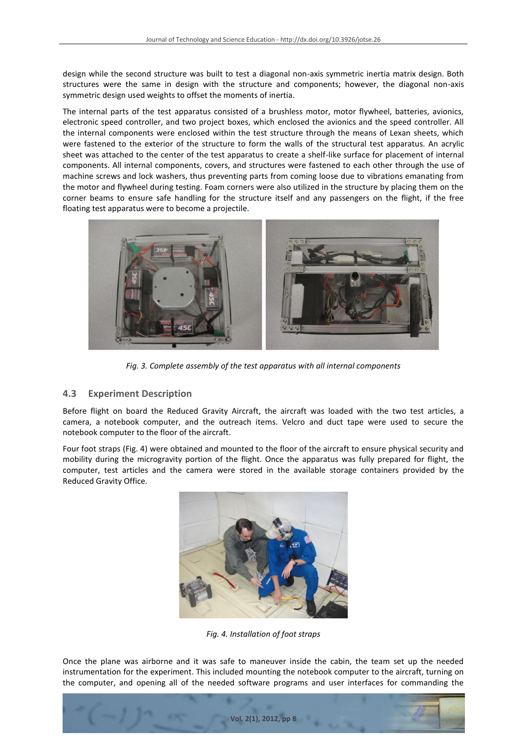design while the second structure was built to test a diagonal non-axis symmetric inertia matrix design. Both structures were the same in design with the structure and components; however, the diagonal non-axis symmetric design used weights to offset the moments of inertia.

The internal parts of the test apparatus consisted of a brushless motor, motor flywheel, batteries, avionics, electronic speed controller, and two project boxes, which enclosed the avionics and the speed controller. All the internal components were enclosed within the test structure through the means of Lexan sheets, which were fastened to the exterior of the structure to form the walls of the structural test apparatus. An acrylic sheet was attached to the center of the test apparatus to create a shelf-like surface for placement of internal components. All internal components, covers, and structures were fastened to each other through the use of machine screws and lock washers, thus preventing parts from coming loose due to vibrations emanating from the motor and flywheel during testing. Foam corners were also utilized in the structure by placing them on the corner beams to ensure safe handling for the structure itself and any passengers on the flight, if the free floating test apparatus were to become a projectile.



*Fig. 3. Complete assembly of the test apparatus with all internal components*

# **4.3 Experiment Description**

Before flight on board the Reduced Gravity Aircraft, the aircraft was loaded with the two test articles, a camera, a notebook computer, and the outreach items. Velcro and duct tape were used to secure the notebook computer to the floor of the aircraft.

Four foot straps (Fig. 4) were obtained and mounted to the floor of the aircraft to ensure physical security and mobility during the microgravity portion of the flight. Once the apparatus was fully prepared for flight, the computer, test articles and the camera were stored in the available storage containers provided by the Reduced Gravity Office.



*Fig. 4. Installation of foot straps*

Once the plane was airborne and it was safe to maneuver inside the cabin, the team set up the needed instrumentation for the experiment. This included mounting the notebook computer to the aircraft, turning on the computer, and opening all of the needed software programs and user interfaces for commanding the

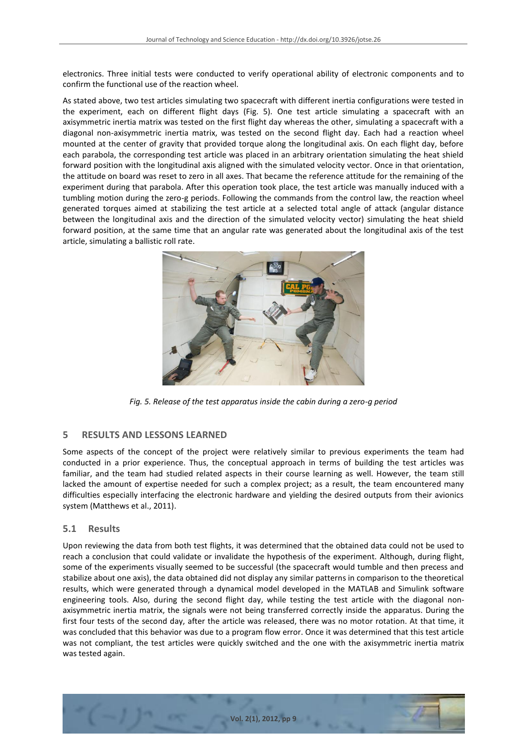electronics. Three initial tests were conducted to verify operational ability of electronic components and to confirm the functional use of the reaction wheel.

As stated above, two test articles simulating two spacecraft with different inertia configurations were tested in the experiment, each on different flight days (Fig. 5). One test article simulating a spacecraft with an axisymmetric inertia matrix was tested on the first flight day whereas the other, simulating a spacecraft with a diagonal non-axisymmetric inertia matrix, was tested on the second flight day. Each had a reaction wheel mounted at the center of gravity that provided torque along the longitudinal axis. On each flight day, before each parabola, the corresponding test article was placed in an arbitrary orientation simulating the heat shield forward position with the longitudinal axis aligned with the simulated velocity vector. Once in that orientation, the attitude on board was reset to zero in all axes. That became the reference attitude for the remaining of the experiment during that parabola. After this operation took place, the test article was manually induced with a tumbling motion during the zero-g periods. Following the commands from the control law, the reaction wheel generated torques aimed at stabilizing the test article at a selected total angle of attack (angular distance between the longitudinal axis and the direction of the simulated velocity vector) simulating the heat shield forward position, at the same time that an angular rate was generated about the longitudinal axis of the test article, simulating a ballistic roll rate.



*Fig. 5. Release of the test apparatus inside the cabin during a zero-g period*

# **5 RESULTS AND LESSONS LEARNED**

Some aspects of the concept of the project were relatively similar to previous experiments the team had conducted in a prior experience. Thus, the conceptual approach in terms of building the test articles was familiar, and the team had studied related aspects in their course learning as well. However, the team still lacked the amount of expertise needed for such a complex project; as a result, the team encountered many difficulties especially interfacing the electronic hardware and yielding the desired outputs from their avionics system (Matthews et al., 2011).

# **5.1 Results**

Upon reviewing the data from both test flights, it was determined that the obtained data could not be used to reach a conclusion that could validate or invalidate the hypothesis of the experiment. Although, during flight, some of the experiments visually seemed to be successful (the spacecraft would tumble and then precess and stabilize about one axis), the data obtained did not display any similar patterns in comparison to the theoretical results, which were generated through a dynamical model developed in the MATLAB and Simulink software engineering tools. Also, during the second flight day, while testing the test article with the diagonal nonaxisymmetric inertia matrix, the signals were not being transferred correctly inside the apparatus. During the first four tests of the second day, after the article was released, there was no motor rotation. At that time, it was concluded that this behavior was due to a program flow error. Once it was determined that this test article was not compliant, the test articles were quickly switched and the one with the axisymmetric inertia matrix was tested again.

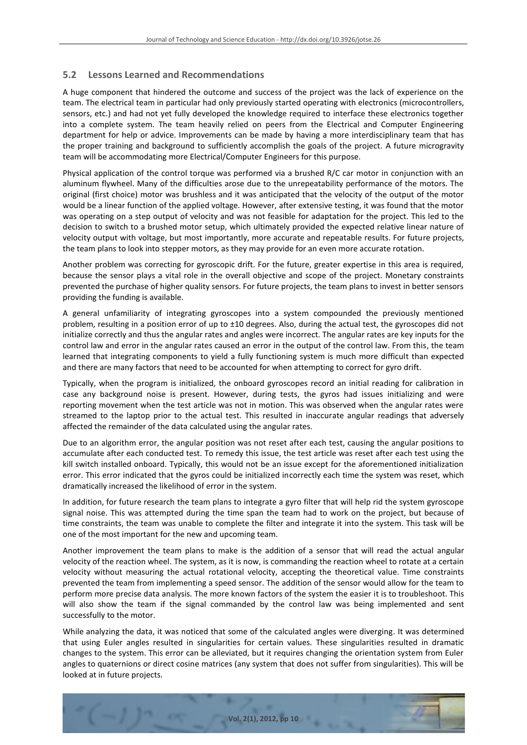### **5.2 Lessons Learned and Recommendations**

A huge component that hindered the outcome and success of the project was the lack of experience on the team. The electrical team in particular had only previously started operating with electronics (microcontrollers, sensors, etc.) and had not yet fully developed the knowledge required to interface these electronics together into a complete system. The team heavily relied on peers from the Electrical and Computer Engineering department for help or advice. Improvements can be made by having a more interdisciplinary team that has the proper training and background to sufficiently accomplish the goals of the project. A future microgravity team will be accommodating more Electrical/Computer Engineers for this purpose.

Physical application of the control torque was performed via a brushed R/C car motor in conjunction with an aluminum flywheel. Many of the difficulties arose due to the unrepeatability performance of the motors. The original (first choice) motor was brushless and it was anticipated that the velocity of the output of the motor would be a linear function of the applied voltage. However, after extensive testing, it was found that the motor was operating on a step output of velocity and was not feasible for adaptation for the project. This led to the decision to switch to a brushed motor setup, which ultimately provided the expected relative linear nature of velocity output with voltage, but most importantly, more accurate and repeatable results. For future projects, the team plans to look into stepper motors, as they may provide for an even more accurate rotation.

Another problem was correcting for gyroscopic drift. For the future, greater expertise in this area is required, because the sensor plays a vital role in the overall objective and scope of the project. Monetary constraints prevented the purchase of higher quality sensors. For future projects, the team plans to invest in better sensors providing the funding is available.

A general unfamiliarity of integrating gyroscopes into a system compounded the previously mentioned problem, resulting in a position error of up to  $\pm 10$  degrees. Also, during the actual test, the gyroscopes did not initialize correctly and thus the angular rates and angles were incorrect. The angular rates are key inputs for the control law and error in the angular rates caused an error in the output of the control law. From this, the team learned that integrating components to yield a fully functioning system is much more difficult than expected and there are many factors that need to be accounted for when attempting to correct for gyro drift.

Typically, when the program is initialized, the onboard gyroscopes record an initial reading for calibration in case any background noise is present. However, during tests, the gyros had issues initializing and were reporting movement when the test article was not in motion. This was observed when the angular rates were streamed to the laptop prior to the actual test. This resulted in inaccurate angular readings that adversely affected the remainder of the data calculated using the angular rates.

Due to an algorithm error, the angular position was not reset after each test, causing the angular positions to accumulate after each conducted test. To remedy this issue, the test article was reset after each test using the kill switch installed onboard. Typically, this would not be an issue except for the aforementioned initialization error. This error indicated that the gyros could be initialized incorrectly each time the system was reset, which dramatically increased the likelihood of error in the system.

In addition, for future research the team plans to integrate a gyro filter that will help rid the system gyroscope signal noise. This was attempted during the time span the team had to work on the project, but because of time constraints, the team was unable to complete the filter and integrate it into the system. This task will be one of the most important for the new and upcoming team.

Another improvement the team plans to make is the addition of a sensor that will read the actual angular velocity of the reaction wheel. The system, as it is now, is commanding the reaction wheel to rotate at a certain velocity without measuring the actual rotational velocity, accepting the theoretical value. Time constraints prevented the team from implementing a speed sensor. The addition of the sensor would allow for the team to perform more precise data analysis. The more known factors of the system the easier it is to troubleshoot. This will also show the team if the signal commanded by the control law was being implemented and sent successfully to the motor.

While analyzing the data, it was noticed that some of the calculated angles were diverging. It was determined that using Euler angles resulted in singularities for certain values. These singularities resulted in dramatic changes to the system. This error can be alleviated, but it requires changing the orientation system from Euler angles to quaternions or direct cosine matrices (any system that does not suffer from singularities). This will be looked at in future projects.

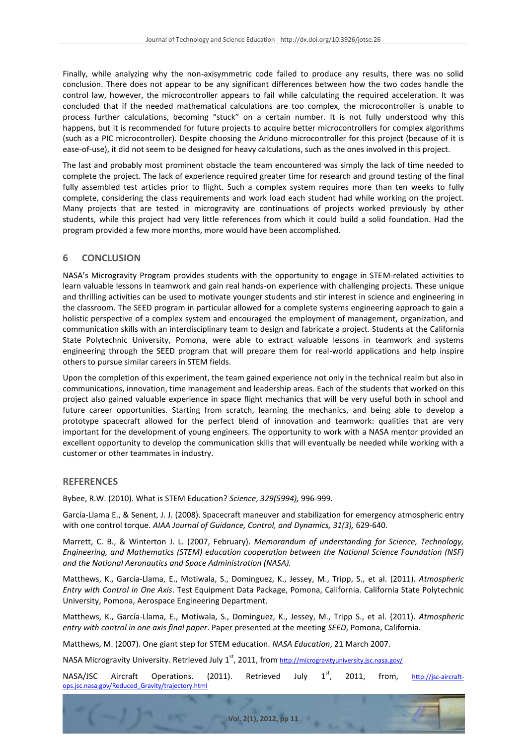Finally, while analyzing why the non-axisymmetric code failed to produce any results, there was no solid conclusion. There does not appear to be any significant differences between how the two codes handle the control law, however, the microcontroller appears to fail while calculating the required acceleration. It was concluded that if the needed mathematical calculations are too complex, the microcontroller is unable to process further calculations, becoming "stuck" on a certain number. It is not fully understood why this happens, but it is recommended for future projects to acquire better microcontrollers for complex algorithms (such as a PIC microcontroller). Despite choosing the Ariduno microcontroller for this project (because of it is ease-of-use), it did not seem to be designed for heavy calculations, such as the ones involved in this project.

The last and probably most prominent obstacle the team encountered was simply the lack of time needed to complete the project. The lack of experience required greater time for research and ground testing of the final fully assembled test articles prior to flight. Such a complex system requires more than ten weeks to fully complete, considering the class requirements and work load each student had while working on the project. Many projects that are tested in microgravity are continuations of projects worked previously by other students, while this project had very little references from which it could build a solid foundation. Had the program provided a few more months, more would have been accomplished.

### **6 CONCLUSION**

NASA's Microgravity Program provides students with the opportunity to engage in STEM-related activities to learn valuable lessons in teamwork and gain real hands-on experience with challenging projects. These unique and thrilling activities can be used to motivate younger students and stir interest in science and engineering in the classroom. The SEED program in particular allowed for a complete systems engineering approach to gain a holistic perspective of a complex system and encouraged the employment of management, organization, and communication skills with an interdisciplinary team to design and fabricate a project. Students at the California State Polytechnic University, Pomona, were able to extract valuable lessons in teamwork and systems engineering through the SEED program that will prepare them for real-world applications and help inspire others to pursue similar careers in STEM fields.

Upon the completion of this experiment, the team gained experience not only in the technical realm but also in communications, innovation, time management and leadership areas. Each of the students that worked on this project also gained valuable experience in space flight mechanics that will be very useful both in school and future career opportunities. Starting from scratch, learning the mechanics, and being able to develop a prototype spacecraft allowed for the perfect blend of innovation and teamwork: qualities that are very important for the development of young engineers. The opportunity to work with a NASA mentor provided an excellent opportunity to develop the communication skills that will eventually be needed while working with a customer or other teammates in industry.

#### **REFERENCES**

Bybee, R.W. (2010). What is STEM Education? *Science*, *329(5994),* 996-999.

García-Llama E., & Senent, J. J. (2008). Spacecraft maneuver and stabilization for emergency atmospheric entry with one control torque. *AIAA Journal of Guidance, Control, and Dynamics, 31(3),* 629-640.

Marrett, C. B., & Winterton J. L. (2007, February). *Memorandum of understanding for Science, Technology, Engineering, and Mathematics (STEM) education cooperation between the National Science Foundation (NSF) and the National Aeronautics and Space Administration (NASA).* 

Matthews, K., García-Llama, E., Motiwala, S., Dominguez, K., Jessey, M., Tripp, S., et al. (2011). *Atmospheric Entry with Control in One Axis*. Test Equipment Data Package, Pomona, California. California State Polytechnic University, Pomona, Aerospace Engineering Department.

Matthews, K., García-Llama, E., Motiwala, S., Dominguez, K., Jessey, M., Tripp S., et al. (2011). *Atmospheric entry with control in one axis final paper*. Paper presented at the meeting *SEED*, Pomona, California.

Matthews, M. (2007). One giant step for STEM education. *NASA Education*, 21 March 2007.

NASA Microgravity University. Retrieved July  $1^{st}$ , 2011, from <http://microgravityuniversity.jsc.nasa.gov/>

NASA/JSC Aircraft Operations. (2011). Retrieved July 1<sup>st</sup>, 2011, from, [http://jsc-aircraft](http://jsc-aircraft-ops.jsc.nasa.gov/Reduced_Gravity/trajectory.html)[ops.jsc.nasa.gov/Reduced\\_Gravity/trajectory.html](http://jsc-aircraft-ops.jsc.nasa.gov/Reduced_Gravity/trajectory.html)